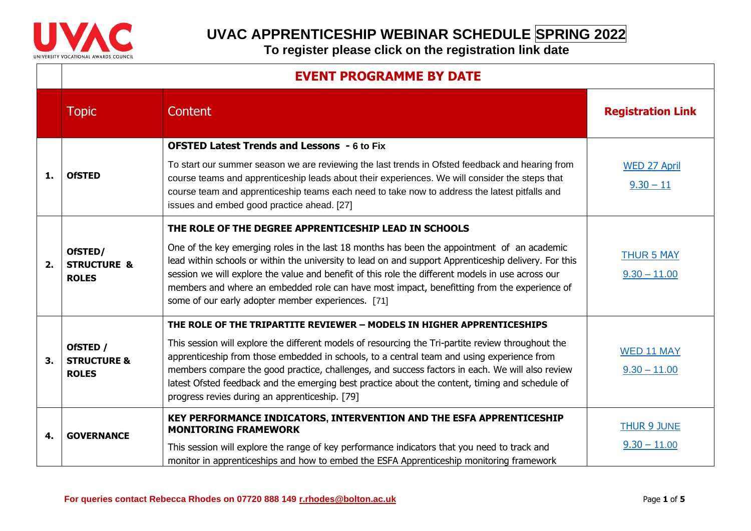

|    | <b>EVENT PROGRAMME BY DATE</b>                     |                                                                                                                                                                                                                                                                                                                                                                                                                                                                                                                                    |                                      |
|----|----------------------------------------------------|------------------------------------------------------------------------------------------------------------------------------------------------------------------------------------------------------------------------------------------------------------------------------------------------------------------------------------------------------------------------------------------------------------------------------------------------------------------------------------------------------------------------------------|--------------------------------------|
|    | <b>Topic</b>                                       | Content                                                                                                                                                                                                                                                                                                                                                                                                                                                                                                                            | <b>Registration Link</b>             |
| 1. | <b>OfSTED</b>                                      | <b>OFSTED Latest Trends and Lessons - 6 to Fix</b><br>To start our summer season we are reviewing the last trends in Ofsted feedback and hearing from<br>course teams and apprenticeship leads about their experiences. We will consider the steps that<br>course team and apprenticeship teams each need to take now to address the latest pitfalls and<br>issues and embed good practice ahead. [27]                                                                                                                             | <b>WED 27 April</b><br>$9.30 - 11$   |
| 2. | OfSTED/<br><b>STRUCTURE &amp;</b><br><b>ROLES</b>  | THE ROLE OF THE DEGREE APPRENTICESHIP LEAD IN SCHOOLS<br>One of the key emerging roles in the last 18 months has been the appointment of an academic<br>lead within schools or within the university to lead on and support Apprenticeship delivery. For this<br>session we will explore the value and benefit of this role the different models in use across our<br>members and where an embedded role can have most impact, benefitting from the experience of<br>some of our early adopter member experiences. [71]            | <b>THUR 5 MAY</b><br>$9.30 - 11.00$  |
| 3. | OfSTED /<br><b>STRUCTURE &amp;</b><br><b>ROLES</b> | THE ROLE OF THE TRIPARTITE REVIEWER - MODELS IN HIGHER APPRENTICESHIPS<br>This session will explore the different models of resourcing the Tri-partite review throughout the<br>apprenticeship from those embedded in schools, to a central team and using experience from<br>members compare the good practice, challenges, and success factors in each. We will also review<br>latest Ofsted feedback and the emerging best practice about the content, timing and schedule of<br>progress revies during an apprenticeship. [79] | WED 11 MAY<br>$9.30 - 11.00$         |
| 4. | <b>GOVERNANCE</b>                                  | KEY PERFORMANCE INDICATORS, INTERVENTION AND THE ESFA APPRENTICESHIP<br><b>MONITORING FRAMEWORK</b><br>This session will explore the range of key performance indicators that you need to track and<br>monitor in apprenticeships and how to embed the ESFA Apprenticeship monitoring framework                                                                                                                                                                                                                                    | <b>THUR 9 JUNE</b><br>$9.30 - 11.00$ |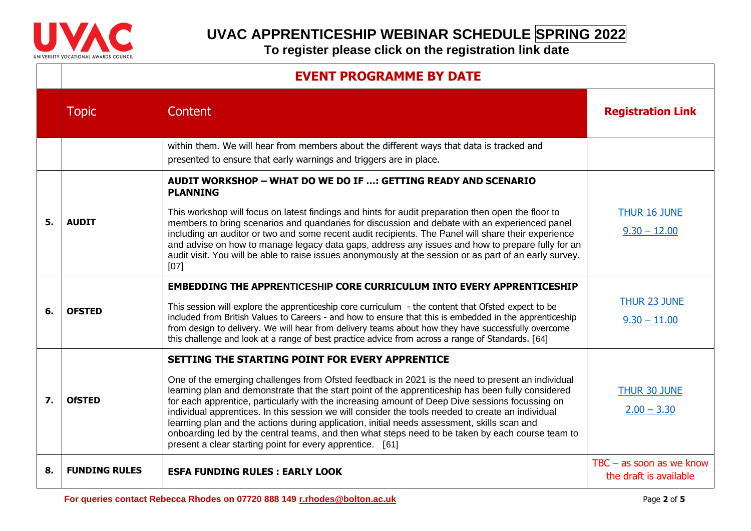

|    | <b>EVENT PROGRAMME BY DATE</b> |                                                                                                                                                                                                                                                                                                                                                                                                                                                                                                                                                                                                                                                                                                                                   |                                                      |
|----|--------------------------------|-----------------------------------------------------------------------------------------------------------------------------------------------------------------------------------------------------------------------------------------------------------------------------------------------------------------------------------------------------------------------------------------------------------------------------------------------------------------------------------------------------------------------------------------------------------------------------------------------------------------------------------------------------------------------------------------------------------------------------------|------------------------------------------------------|
|    | <b>Topic</b>                   | Content                                                                                                                                                                                                                                                                                                                                                                                                                                                                                                                                                                                                                                                                                                                           | <b>Registration Link</b>                             |
|    |                                | within them. We will hear from members about the different ways that data is tracked and<br>presented to ensure that early warnings and triggers are in place.                                                                                                                                                                                                                                                                                                                                                                                                                                                                                                                                                                    |                                                      |
| 5. | <b>AUDIT</b>                   | AUDIT WORKSHOP - WHAT DO WE DO IF ; GETTING READY AND SCENARIO<br><b>PLANNING</b>                                                                                                                                                                                                                                                                                                                                                                                                                                                                                                                                                                                                                                                 |                                                      |
|    |                                | This workshop will focus on latest findings and hints for audit preparation then open the floor to<br>members to bring scenarios and quandaries for discussion and debate with an experienced panel<br>including an auditor or two and some recent audit recipients. The Panel will share their experience<br>and advise on how to manage legacy data gaps, address any issues and how to prepare fully for an<br>audit visit. You will be able to raise issues anonymously at the session or as part of an early survey.<br>[07]                                                                                                                                                                                                 | <b>THUR 16 JUNE</b><br>$9.30 - 12.00$                |
| 6. | <b>OFSTED</b>                  | <b>EMBEDDING THE APPRENTICESHIP CORE CURRICULUM INTO EVERY APPRENTICESHIP</b><br>This session will explore the apprenticeship core curriculum $-$ the content that Ofsted expect to be<br>included from British Values to Careers - and how to ensure that this is embedded in the apprenticeship<br>from design to delivery. We will hear from delivery teams about how they have successfully overcome<br>this challenge and look at a range of best practice advice from across a range of Standards. [64]                                                                                                                                                                                                                     | <b>THUR 23 JUNE</b><br>$9.30 - 11.00$                |
| 7. | <b>OfSTED</b>                  | SETTING THE STARTING POINT FOR EVERY APPRENTICE<br>One of the emerging challenges from Ofsted feedback in 2021 is the need to present an individual<br>learning plan and demonstrate that the start point of the apprenticeship has been fully considered<br>for each apprentice, particularly with the increasing amount of Deep Dive sessions focussing on<br>individual apprentices. In this session we will consider the tools needed to create an individual<br>learning plan and the actions during application, initial needs assessment, skills scan and<br>onboarding led by the central teams, and then what steps need to be taken by each course team to<br>present a clear starting point for every apprentice. [61] | THUR 30 JUNE<br>$2.00 - 3.30$                        |
| 8. | <b>FUNDING RULES</b>           | <b>ESFA FUNDING RULES: EARLY LOOK</b>                                                                                                                                                                                                                                                                                                                                                                                                                                                                                                                                                                                                                                                                                             | $TBC - as soon as we know$<br>the draft is available |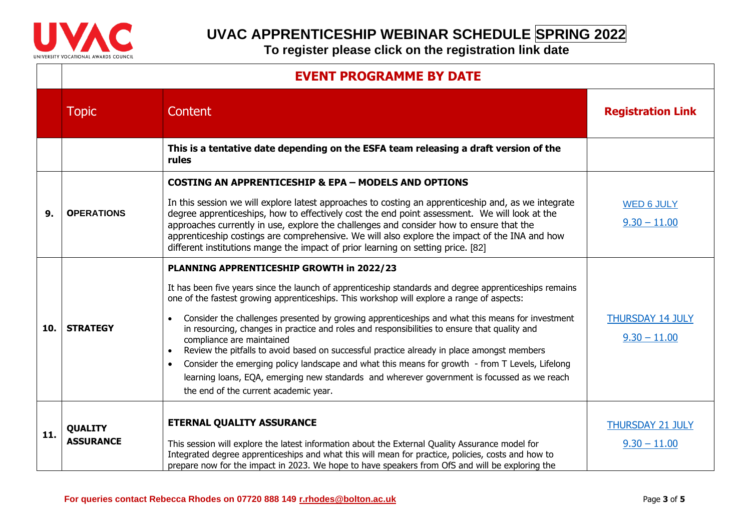

|     | <b>EVENT PROGRAMME BY DATE</b> |                                                                                                                                                                                                                                                                                                                                                                                                                                                                                      |                                           |
|-----|--------------------------------|--------------------------------------------------------------------------------------------------------------------------------------------------------------------------------------------------------------------------------------------------------------------------------------------------------------------------------------------------------------------------------------------------------------------------------------------------------------------------------------|-------------------------------------------|
|     | <b>Topic</b>                   | Content                                                                                                                                                                                                                                                                                                                                                                                                                                                                              | <b>Registration Link</b>                  |
|     |                                | This is a tentative date depending on the ESFA team releasing a draft version of the<br>rules                                                                                                                                                                                                                                                                                                                                                                                        |                                           |
| 9.  | <b>OPERATIONS</b>              | <b>COSTING AN APPRENTICESHIP &amp; EPA - MODELS AND OPTIONS</b>                                                                                                                                                                                                                                                                                                                                                                                                                      |                                           |
|     |                                | In this session we will explore latest approaches to costing an apprenticeship and, as we integrate<br>degree apprenticeships, how to effectively cost the end point assessment. We will look at the<br>approaches currently in use, explore the challenges and consider how to ensure that the<br>apprenticeship costings are comprehensive. We will also explore the impact of the INA and how<br>different institutions mange the impact of prior learning on setting price. [82] | <b>WED 6 JULY</b><br>$9.30 - 11.00$       |
| 10. |                                | PLANNING APPRENTICESHIP GROWTH in 2022/23                                                                                                                                                                                                                                                                                                                                                                                                                                            |                                           |
|     |                                | It has been five years since the launch of apprenticeship standards and degree apprenticeships remains<br>one of the fastest growing apprenticeships. This workshop will explore a range of aspects:                                                                                                                                                                                                                                                                                 |                                           |
|     | <b>STRATEGY</b>                | Consider the challenges presented by growing apprenticeships and what this means for investment<br>in resourcing, changes in practice and roles and responsibilities to ensure that quality and<br>compliance are maintained<br>Review the pitfalls to avoid based on successful practice already in place amongst members<br>$\bullet$                                                                                                                                              | <b>THURSDAY 14 JULY</b><br>$9.30 - 11.00$ |
|     |                                | Consider the emerging policy landscape and what this means for growth - from T Levels, Lifelong<br>$\bullet$<br>learning loans, EQA, emerging new standards and wherever government is focussed as we reach<br>the end of the current academic year.                                                                                                                                                                                                                                 |                                           |
| 11. | <b>QUALITY</b>                 | <b>ETERNAL QUALITY ASSURANCE</b>                                                                                                                                                                                                                                                                                                                                                                                                                                                     | <b>THURSDAY 21 JULY</b>                   |
|     | <b>ASSURANCE</b>               | This session will explore the latest information about the External Quality Assurance model for<br>Integrated degree apprenticeships and what this will mean for practice, policies, costs and how to<br>prepare now for the impact in 2023. We hope to have speakers from OfS and will be exploring the                                                                                                                                                                             | $9.30 - 11.00$                            |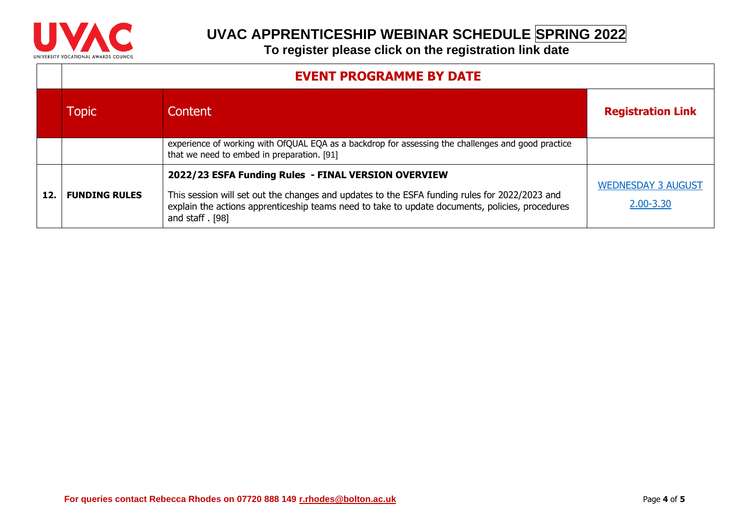

|     | <b>EVENT PROGRAMME BY DATE</b> |                                                                                                                                                                                                                                                                               |                                        |  |
|-----|--------------------------------|-------------------------------------------------------------------------------------------------------------------------------------------------------------------------------------------------------------------------------------------------------------------------------|----------------------------------------|--|
|     | Topic                          | Content <sub>1</sub>                                                                                                                                                                                                                                                          | <b>Registration Link</b>               |  |
|     |                                | experience of working with OfQUAL EQA as a backdrop for assessing the challenges and good practice<br>that we need to embed in preparation. [91]                                                                                                                              |                                        |  |
| 12. | <b>FUNDING RULES</b>           | 2022/23 ESFA Funding Rules - FINAL VERSION OVERVIEW<br>This session will set out the changes and updates to the ESFA funding rules for 2022/2023 and<br>explain the actions apprenticeship teams need to take to update documents, policies, procedures<br>and staff $.$ [98] | <b>WEDNESDAY 3 AUGUST</b><br>2.00-3.30 |  |